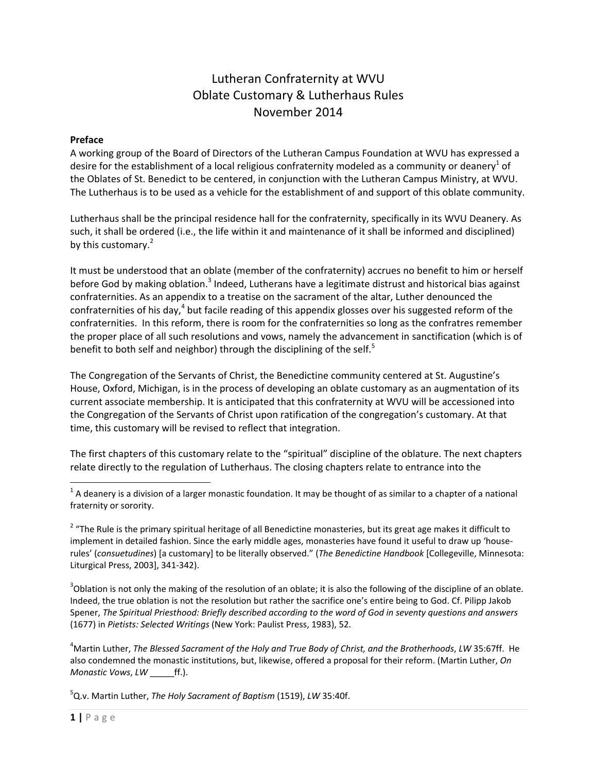# Lutheran Confraternity at WVU Oblate Customary & Lutherhaus Rules November 2014

#### **Preface**

A working group of the Board of Directors of the Lutheran Campus Foundation at WVU has expressed a desire for the establishment of a local religious confraternity modeled as a community or deanery<sup>1</sup> of the Oblates of St. Benedict to be centered, in conjunction with the Lutheran Campus Ministry, at WVU. The Lutherhaus is to be used as a vehicle for the establishment of and support of this oblate community.

Lutherhaus shall be the principal residence hall for the confraternity, specifically in its WVU Deanery. As such, it shall be ordered (i.e., the life within it and maintenance of it shall be informed and disciplined) by this customary.<sup>2</sup>

It must be understood that an oblate (member of the confraternity) accrues no benefit to him or herself before God by making oblation.<sup>3</sup> Indeed, Lutherans have a legitimate distrust and historical bias against confraternities. As an appendix to a treatise on the sacrament of the altar, Luther denounced the confraternities of his day,<sup>4</sup> but facile reading of this appendix glosses over his suggested reform of the confraternities. In this reform, there is room for the confraternities so long as the confratres remember the proper place of all such resolutions and vows, namely the advancement in sanctification (which is of benefit to both self and neighbor) through the disciplining of the self.<sup>5</sup>

The Congregation of the Servants of Christ, the Benedictine community centered at St. Augustine's House, Oxford, Michigan, is in the process of developing an oblate customary as an augmentation of its current associate membership. It is anticipated that this confraternity at WVU will be accessioned into the Congregation of the Servants of Christ upon ratification of the congregation's customary. At that time, this customary will be revised to reflect that integration.

The first chapters of this customary relate to the "spiritual" discipline of the oblature. The next chapters relate directly to the regulation of Lutherhaus. The closing chapters relate to entrance into the

 $3$ Oblation is not only the making of the resolution of an oblate; it is also the following of the discipline of an oblate. Indeed, the true oblation is not the resolution but rather the sacrifice one's entire being to God. Cf. Pilipp Jakob Spener, The Spiritual Priesthood: Briefly described according to the word of God in seventy questions and answers (1677) in *Pietists: Selected Writings* (New York: Paulist Press, 1983), 52.

4 Martin Luther, *The Blessed Sacrament of the Holy and True Body of Christ, and the Brotherhoods*, *LW* 35:67ff. He also condemned the monastic institutions, but, likewise, offered a proposal for their reform. (Martin Luther, *On Monastic Vows*, *LW* \_\_\_\_\_ff.).

5 Q.v. Martin Luther, *The Holy Sacrament of Baptism* (1519), *LW* 35:40f.

 $1$  A deanery is a division of a larger monastic foundation. It may be thought of as similar to a chapter of a national fraternity or sorority.

<sup>&</sup>lt;sup>2</sup> "The Rule is the primary spiritual heritage of all Benedictine monasteries, but its great age makes it difficult to implement in detailed fashion. Since the early middle ages, monasteries have found it useful to draw up 'houserules' (*consuetudines*) [a customary] to be literally observed." (*The Benedictine Handbook* [Collegeville, Minnesota: Liturgical Press, 2003], 341‐342).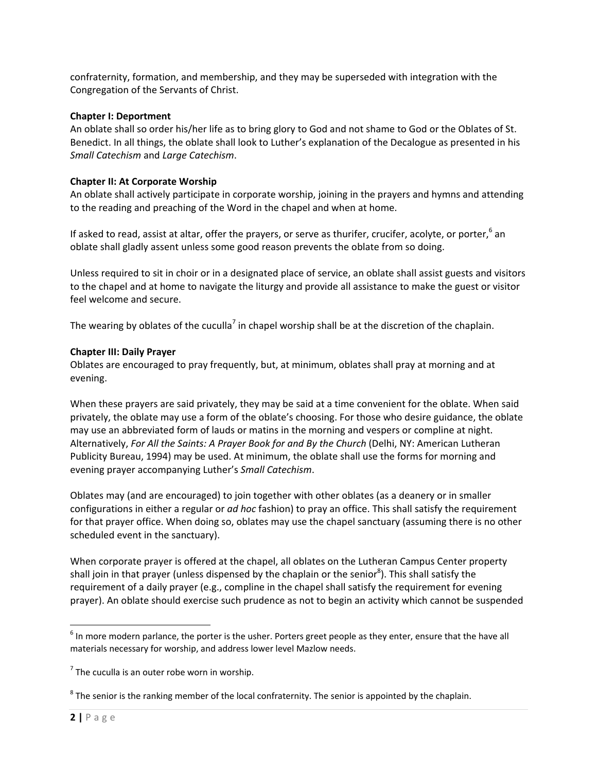confraternity, formation, and membership, and they may be superseded with integration with the Congregation of the Servants of Christ.

#### **Chapter I: Deportment**

An oblate shall so order his/her life as to bring glory to God and not shame to God or the Oblates of St. Benedict. In all things, the oblate shall look to Luther's explanation of the Decalogue as presented in his *Small Catechism* and *Large Catechism*.

## **Chapter II: At Corporate Worship**

An oblate shall actively participate in corporate worship, joining in the prayers and hymns and attending to the reading and preaching of the Word in the chapel and when at home.

If asked to read, assist at altar, offer the prayers, or serve as thurifer, crucifer, acolyte, or porter, <sup>6</sup> an oblate shall gladly assent unless some good reason prevents the oblate from so doing.

Unless required to sit in choir or in a designated place of service, an oblate shall assist guests and visitors to the chapel and at home to navigate the liturgy and provide all assistance to make the guest or visitor feel welcome and secure.

The wearing by oblates of the cuculla<sup>7</sup> in chapel worship shall be at the discretion of the chaplain.

### **Chapter III: Daily Prayer**

Oblates are encouraged to pray frequently, but, at minimum, oblates shall pray at morning and at evening.

When these prayers are said privately, they may be said at a time convenient for the oblate. When said privately, the oblate may use a form of the oblate's choosing. For those who desire guidance, the oblate may use an abbreviated form of lauds or matins in the morning and vespers or compline at night. Alternatively, *For All the Saints: A Prayer Book for and By the Church* (Delhi, NY: American Lutheran Publicity Bureau, 1994) may be used. At minimum, the oblate shall use the forms for morning and evening prayer accompanying Luther's *Small Catechism*.

Oblates may (and are encouraged) to join together with other oblates (as a deanery or in smaller configurations in either a regular or *ad hoc* fashion) to pray an office. This shall satisfy the requirement for that prayer office. When doing so, oblates may use the chapel sanctuary (assuming there is no other scheduled event in the sanctuary).

When corporate prayer is offered at the chapel, all oblates on the Lutheran Campus Center property shall join in that prayer (unless dispensed by the chaplain or the senior<sup>8</sup>). This shall satisfy the requirement of a daily prayer (e.g., compline in the chapel shall satisfy the requirement for evening prayer). An oblate should exercise such prudence as not to begin an activity which cannot be suspended

 $<sup>6</sup>$  In more modern parlance, the porter is the usher. Porters greet people as they enter, ensure that the have all</sup> materials necessary for worship, and address lower level Mazlow needs.

 $<sup>7</sup>$  The cuculla is an outer robe worn in worship.</sup>

 $8$  The senior is the ranking member of the local confraternity. The senior is appointed by the chaplain.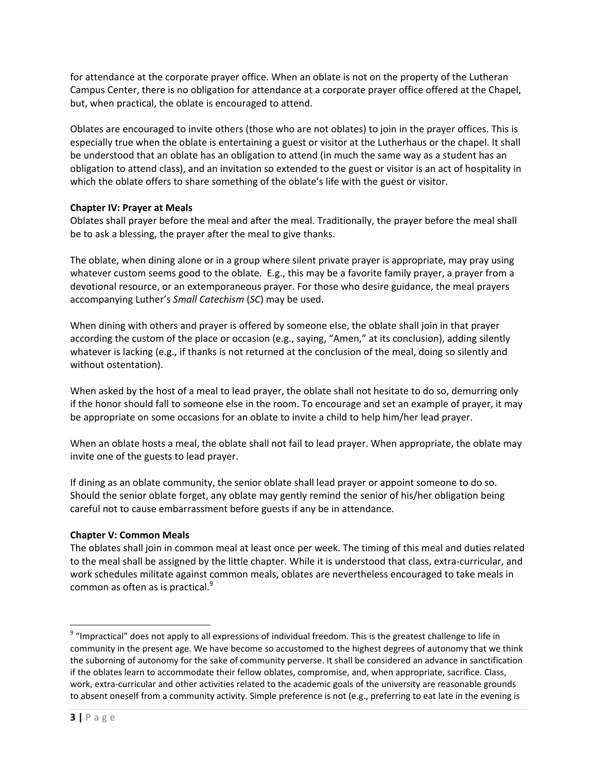for attendance at the corporate prayer office. When an oblate is not on the property of the Lutheran Campus Center, there is no obligation for attendance at a corporate prayer office offered at the Chapel, but, when practical, the oblate is encouraged to attend.

Oblates are encouraged to invite others (those who are not oblates) to join in the prayer offices. This is especially true when the oblate is entertaining a guest or visitor at the Lutherhaus or the chapel. It shall be understood that an oblate has an obligation to attend (in much the same way as a student has an obligation to attend class), and an invitation so extended to the guest or visitor is an act of hospitality in which the oblate offers to share something of the oblate's life with the guest or visitor.

### **Chapter IV: Prayer at Meals**

Oblates shall prayer before the meal and after the meal. Traditionally, the prayer before the meal shall be to ask a blessing, the prayer after the meal to give thanks.

The oblate, when dining alone or in a group where silent private prayer is appropriate, may pray using whatever custom seems good to the oblate. E.g., this may be a favorite family prayer, a prayer from a devotional resource, or an extemporaneous prayer. For those who desire guidance, the meal prayers accompanying Luther's *Small Catechism* (*SC*) may be used.

When dining with others and prayer is offered by someone else, the oblate shall join in that prayer according the custom of the place or occasion (e.g., saying, "Amen," at its conclusion), adding silently whatever is lacking (e.g., if thanks is not returned at the conclusion of the meal, doing so silently and without ostentation).

When asked by the host of a meal to lead prayer, the oblate shall not hesitate to do so, demurring only if the honor should fall to someone else in the room. To encourage and set an example of prayer, it may be appropriate on some occasions for an oblate to invite a child to help him/her lead prayer.

When an oblate hosts a meal, the oblate shall not fail to lead prayer. When appropriate, the oblate may invite one of the guests to lead prayer.

If dining as an oblate community, the senior oblate shall lead prayer or appoint someone to do so. Should the senior oblate forget, any oblate may gently remind the senior of his/her obligation being careful not to cause embarrassment before guests if any be in attendance.

# **Chapter V: Common Meals**

The oblates shall join in common meal at least once per week. The timing of this meal and duties related to the meal shall be assigned by the little chapter. While it is understood that class, extra-curricular, and work schedules militate against common meals, oblates are nevertheless encouraged to take meals in common as often as is practical.<sup>9</sup>

<sup>&</sup>lt;sup>9</sup> "Impractical" does not apply to all expressions of individual freedom. This is the greatest challenge to life in community in the present age. We have become so accustomed to the highest degrees of autonomy that we think the suborning of autonomy for the sake of community perverse. It shall be considered an advance in sanctification if the oblates learn to accommodate their fellow oblates, compromise, and, when appropriate, sacrifice. Class, work, extra‐curricular and other activities related to the academic goals of the university are reasonable grounds to absent oneself from a community activity. Simple preference is not (e.g., preferring to eat late in the evening is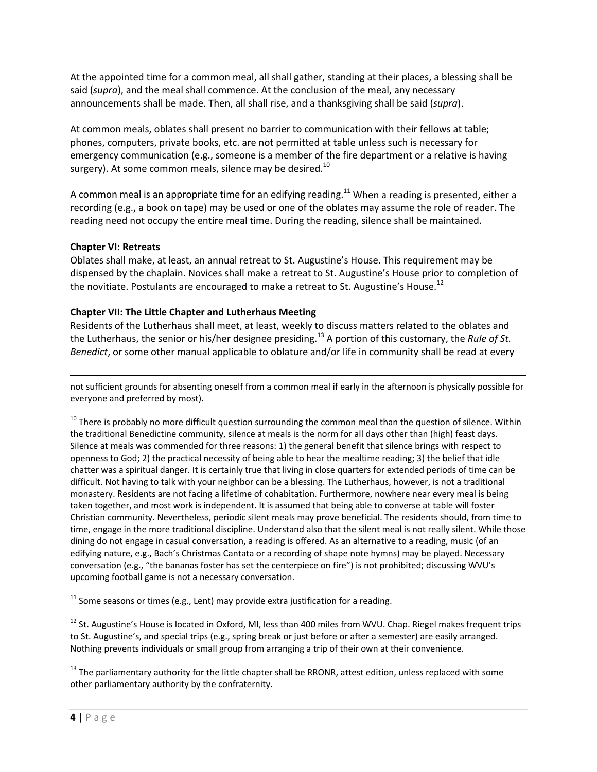At the appointed time for a common meal, all shall gather, standing at their places, a blessing shall be said (*supra*), and the meal shall commence. At the conclusion of the meal, any necessary announcements shall be made. Then, all shall rise, and a thanksgiving shall be said (*supra*).

At common meals, oblates shall present no barrier to communication with their fellows at table; phones, computers, private books, etc. are not permitted at table unless such is necessary for emergency communication (e.g., someone is a member of the fire department or a relative is having surgery). At some common meals, silence may be desired.<sup>10</sup>

A common meal is an appropriate time for an edifying reading.<sup>11</sup> When a reading is presented, either a recording (e.g., a book on tape) may be used or one of the oblates may assume the role of reader. The reading need not occupy the entire meal time. During the reading, silence shall be maintained.

### **Chapter VI: Retreats**

Oblates shall make, at least, an annual retreat to St. Augustine's House. This requirement may be dispensed by the chaplain. Novices shall make a retreat to St. Augustine's House prior to completion of the novitiate. Postulants are encouraged to make a retreat to St. Augustine's House.<sup>12</sup>

### **Chapter VII: The Little Chapter and Lutherhaus Meeting**

Residents of the Lutherhaus shall meet, at least, weekly to discuss matters related to the oblates and the Lutherhaus, the senior or his/her designee presiding.<sup>13</sup> A portion of this customary, the *Rule of St. Benedict*, or some other manual applicable to oblature and/or life in community shall be read at every

<u> Andrewski politika (za obrazu pod predsjednika u predsjednika u predsjednika u predsjednika (za obrazu pod p</u> not sufficient grounds for absenting oneself from a common meal if early in the afternoon is physically possible for everyone and preferred by most).

 $10$  There is probably no more difficult question surrounding the common meal than the question of silence. Within the traditional Benedictine community, silence at meals is the norm for all days other than (high) feast days. Silence at meals was commended for three reasons: 1) the general benefit that silence brings with respect to openness to God; 2) the practical necessity of being able to hear the mealtime reading; 3) the belief that idle chatter was a spiritual danger. It is certainly true that living in close quarters for extended periods of time can be difficult. Not having to talk with your neighbor can be a blessing. The Lutherhaus, however, is not a traditional monastery. Residents are not facing a lifetime of cohabitation. Furthermore, nowhere near every meal is being taken together, and most work is independent. It is assumed that being able to converse at table will foster Christian community. Nevertheless, periodic silent meals may prove beneficial. The residents should, from time to time, engage in the more traditional discipline. Understand also that the silent meal is not really silent. While those dining do not engage in casual conversation, a reading is offered. As an alternative to a reading, music (of an edifying nature, e.g., Bach's Christmas Cantata or a recording of shape note hymns) may be played. Necessary conversation (e.g., "the bananas foster has set the centerpiece on fire") is not prohibited; discussing WVU's upcoming football game is not a necessary conversation.

 $11$  Some seasons or times (e.g., Lent) may provide extra justification for a reading.

<sup>12</sup> St. Augustine's House is located in Oxford, MI, less than 400 miles from WVU. Chap. Riegel makes frequent trips to St. Augustine's, and special trips (e.g., spring break or just before or after a semester) are easily arranged. Nothing prevents individuals or small group from arranging a trip of their own at their convenience.

 $13$  The parliamentary authority for the little chapter shall be RRONR, attest edition, unless replaced with some other parliamentary authority by the confraternity.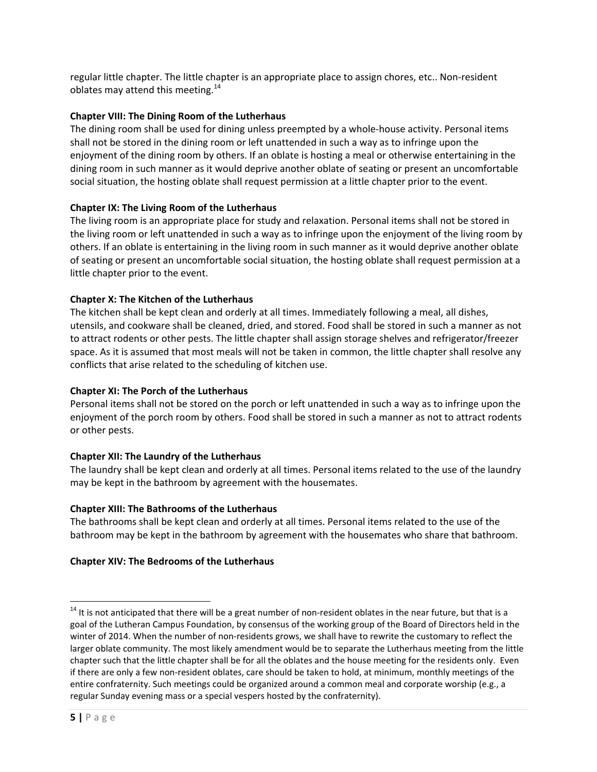regular little chapter. The little chapter is an appropriate place to assign chores, etc.. Non‐resident oblates may attend this meeting. $^{14}$ 

## **Chapter VIII: The Dining Room of the Lutherhaus**

The dining room shall be used for dining unless preempted by a whole‐house activity. Personal items shall not be stored in the dining room or left unattended in such a way as to infringe upon the enjoyment of the dining room by others. If an oblate is hosting a meal or otherwise entertaining in the dining room in such manner as it would deprive another oblate of seating or present an uncomfortable social situation, the hosting oblate shall request permission at a little chapter prior to the event.

### **Chapter IX: The Living Room of the Lutherhaus**

The living room is an appropriate place for study and relaxation. Personal items shall not be stored in the living room or left unattended in such a way as to infringe upon the enjoyment of the living room by others. If an oblate is entertaining in the living room in such manner as it would deprive another oblate of seating or present an uncomfortable social situation, the hosting oblate shall request permission at a little chapter prior to the event.

### **Chapter X: The Kitchen of the Lutherhaus**

The kitchen shall be kept clean and orderly at all times. Immediately following a meal, all dishes, utensils, and cookware shall be cleaned, dried, and stored. Food shall be stored in such a manner as not to attract rodents or other pests. The little chapter shall assign storage shelves and refrigerator/freezer space. As it is assumed that most meals will not be taken in common, the little chapter shall resolve any conflicts that arise related to the scheduling of kitchen use.

## **Chapter XI: The Porch of the Lutherhaus**

Personal items shall not be stored on the porch or left unattended in such a way as to infringe upon the enjoyment of the porch room by others. Food shall be stored in such a manner as not to attract rodents or other pests.

# **Chapter XII: The Laundry of the Lutherhaus**

The laundry shall be kept clean and orderly at all times. Personal items related to the use of the laundry may be kept in the bathroom by agreement with the housemates.

#### **Chapter XIII: The Bathrooms of the Lutherhaus**

The bathrooms shall be kept clean and orderly at all times. Personal items related to the use of the bathroom may be kept in the bathroom by agreement with the housemates who share that bathroom.

# **Chapter XIV: The Bedrooms of the Lutherhaus**

 $14$  It is not anticipated that there will be a great number of non-resident oblates in the near future, but that is a goal of the Lutheran Campus Foundation, by consensus of the working group of the Board of Directors held in the winter of 2014. When the number of non-residents grows, we shall have to rewrite the customary to reflect the larger oblate community. The most likely amendment would be to separate the Lutherhaus meeting from the little chapter such that the little chapter shall be for all the oblates and the house meeting for the residents only. Even if there are only a few non‐resident oblates, care should be taken to hold, at minimum, monthly meetings of the entire confraternity. Such meetings could be organized around a common meal and corporate worship (e.g., a regular Sunday evening mass or a special vespers hosted by the confraternity).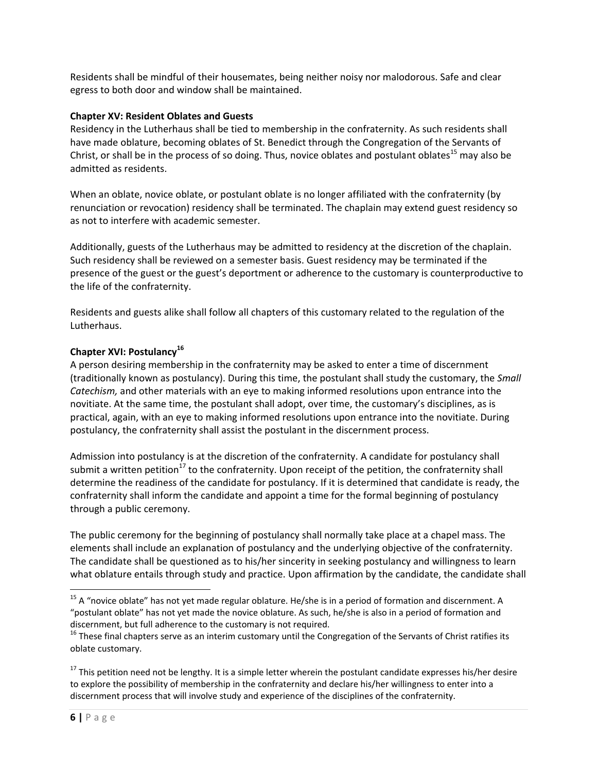Residents shall be mindful of their housemates, being neither noisy nor malodorous. Safe and clear egress to both door and window shall be maintained.

#### **Chapter XV: Resident Oblates and Guests**

Residency in the Lutherhaus shall be tied to membership in the confraternity. As such residents shall have made oblature, becoming oblates of St. Benedict through the Congregation of the Servants of Christ, or shall be in the process of so doing. Thus, novice oblates and postulant oblates<sup>15</sup> may also be admitted as residents.

When an oblate, novice oblate, or postulant oblate is no longer affiliated with the confraternity (by renunciation or revocation) residency shall be terminated. The chaplain may extend guest residency so as not to interfere with academic semester.

Additionally, guests of the Lutherhaus may be admitted to residency at the discretion of the chaplain. Such residency shall be reviewed on a semester basis. Guest residency may be terminated if the presence of the guest or the guest's deportment or adherence to the customary is counterproductive to the life of the confraternity.

Residents and guests alike shall follow all chapters of this customary related to the regulation of the Lutherhaus.

# **Chapter XVI: Postulancy<sup>16</sup>**

A person desiring membership in the confraternity may be asked to enter a time of discernment (traditionally known as postulancy). During this time, the postulant shall study the customary, the *Small Catechism,* and other materials with an eye to making informed resolutions upon entrance into the novitiate. At the same time, the postulant shall adopt, over time, the customary's disciplines, as is practical, again, with an eye to making informed resolutions upon entrance into the novitiate. During postulancy, the confraternity shall assist the postulant in the discernment process.

Admission into postulancy is at the discretion of the confraternity. A candidate for postulancy shall submit a written petition<sup>17</sup> to the confraternity. Upon receipt of the petition, the confraternity shall determine the readiness of the candidate for postulancy. If it is determined that candidate is ready, the confraternity shall inform the candidate and appoint a time for the formal beginning of postulancy through a public ceremony.

The public ceremony for the beginning of postulancy shall normally take place at a chapel mass. The elements shall include an explanation of postulancy and the underlying objective of the confraternity. The candidate shall be questioned as to his/her sincerity in seeking postulancy and willingness to learn what oblature entails through study and practice. Upon affirmation by the candidate, the candidate shall

<sup>&</sup>lt;sup>15</sup> A "novice oblate" has not yet made regular oblature. He/she is in a period of formation and discernment. A "postulant oblate" has not yet made the novice oblature. As such, he/she is also in a period of formation and

discernment, but full adherence to the customary is not required.<br><sup>16</sup> These final chapters serve as an interim customary until the Congregation of the Servants of Christ ratifies its oblate customary.

 $17$  This petition need not be lengthy. It is a simple letter wherein the postulant candidate expresses his/her desire to explore the possibility of membership in the confraternity and declare his/her willingness to enter into a discernment process that will involve study and experience of the disciplines of the confraternity.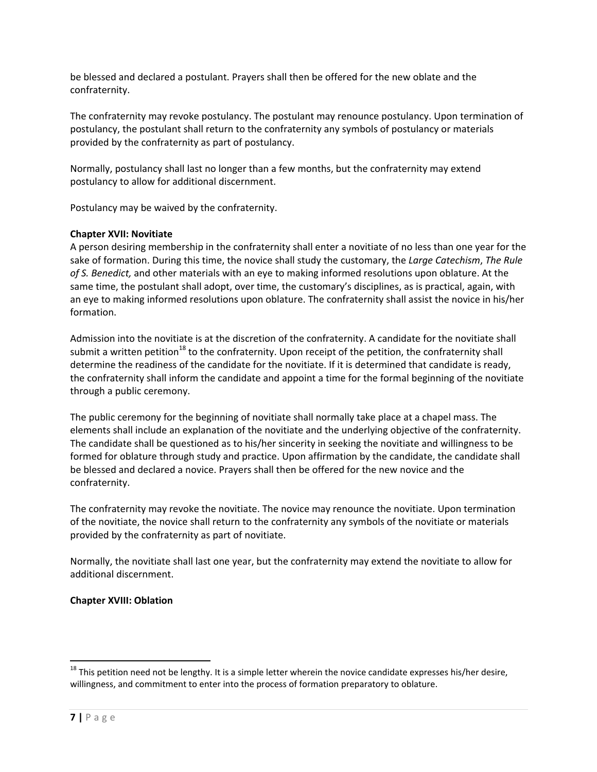be blessed and declared a postulant. Prayers shall then be offered for the new oblate and the confraternity.

The confraternity may revoke postulancy. The postulant may renounce postulancy. Upon termination of postulancy, the postulant shall return to the confraternity any symbols of postulancy or materials provided by the confraternity as part of postulancy.

Normally, postulancy shall last no longer than a few months, but the confraternity may extend postulancy to allow for additional discernment.

Postulancy may be waived by the confraternity.

### **Chapter XVII: Novitiate**

A person desiring membership in the confraternity shall enter a novitiate of no less than one year for the sake of formation. During this time, the novice shall study the customary, the *Large Catechism*, *The Rule of S. Benedict,* and other materials with an eye to making informed resolutions upon oblature. At the same time, the postulant shall adopt, over time, the customary's disciplines, as is practical, again, with an eye to making informed resolutions upon oblature. The confraternity shall assist the novice in his/her formation.

Admission into the novitiate is at the discretion of the confraternity. A candidate for the novitiate shall submit a written petition<sup>18</sup> to the confraternity. Upon receipt of the petition, the confraternity shall determine the readiness of the candidate for the novitiate. If it is determined that candidate is ready, the confraternity shall inform the candidate and appoint a time for the formal beginning of the novitiate through a public ceremony.

The public ceremony for the beginning of novitiate shall normally take place at a chapel mass. The elements shall include an explanation of the novitiate and the underlying objective of the confraternity. The candidate shall be questioned as to his/her sincerity in seeking the novitiate and willingness to be formed for oblature through study and practice. Upon affirmation by the candidate, the candidate shall be blessed and declared a novice. Prayers shall then be offered for the new novice and the confraternity.

The confraternity may revoke the novitiate. The novice may renounce the novitiate. Upon termination of the novitiate, the novice shall return to the confraternity any symbols of the novitiate or materials provided by the confraternity as part of novitiate.

Normally, the novitiate shall last one year, but the confraternity may extend the novitiate to allow for additional discernment.

# **Chapter XVIII: Oblation**

 $^{18}$  This petition need not be lengthy. It is a simple letter wherein the novice candidate expresses his/her desire, willingness, and commitment to enter into the process of formation preparatory to oblature.